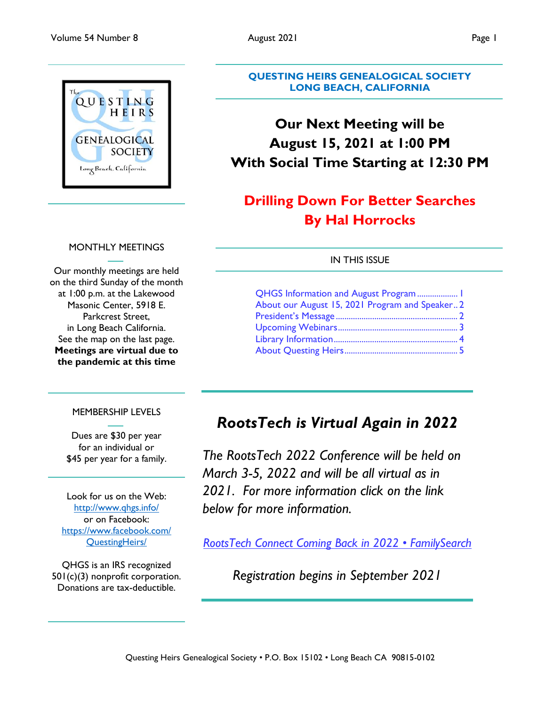

#### **QUESTING HEIRS GENEALOGICAL SOCIETY LONG BEACH, CALIFORNIA**

# **Our Next Meeting will be August 15, 2021 at 1:00 PM With Social Time Starting at 12:30 PM**

# **Drilling Down For Better Searches By Hal Horrocks**

#### IN THIS ISSUE

| QHGS Information and August Program  1          |  |
|-------------------------------------------------|--|
| About our August 15, 2021 Program and Speaker 2 |  |
|                                                 |  |
|                                                 |  |
|                                                 |  |
|                                                 |  |
|                                                 |  |

#### MEMBERSHIP LEVELS

Dues are \$30 per year for an individual or \$45 per year for a family.

Look for us on the Web: <http://www.qhgs.info/> or on Facebook: [https://www.facebook.com/](https://www.facebook.com/%20QuestingHeirs/)  [QuestingHeirs/](https://www.facebook.com/%20QuestingHeirs/)

QHGS is an IRS recognized 501(c)(3) nonprofit corporation. Donations are tax-deductible.

# *RootsTech is Virtual Again in 2022*

*The RootsTech 2022 Conference will be held on March 3-5, 2022 and will be all virtual as in 2021. For more information click on the link below for more information.*

*[RootsTech Connect Coming Back in 2022 • FamilySearch](https://www.familysearch.org/blog/en/rootstech-connect-2022/)*

*Registration begins in September 2021*

#### MONTHLY MEETINGS

Our monthly meetings are held on the third Sunday of the month at 1:00 p.m. at the Lakewood Masonic Center, 5918 E. Parkcrest Street, in Long Beach California. See the map on the last page. **Meetings are virtual due to the pandemic at this time**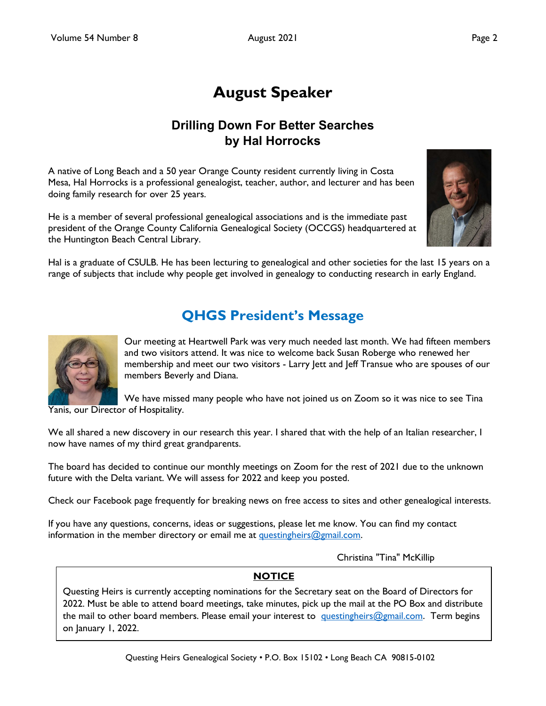# **August Speaker**

## **Drilling Down For Better Searches by Hal Horrocks**

<span id="page-1-0"></span>A native of Long Beach and a 50 year Orange County resident currently living in Costa Mesa, Hal Horrocks is a professional genealogist, teacher, author, and lecturer and has been doing family research for over 25 years.

He is a member of several professional genealogical associations and is the immediate past president of the Orange County California Genealogical Society (OCCGS) headquartered at the Huntington Beach Central Library.



Hal is a graduate of CSULB. He has been lecturing to genealogical and other societies for the last 15 years on a range of subjects that include why people get involved in genealogy to conducting research in early England.

# **QHGS President's Message**



Our meeting at Heartwell Park was very much needed last month. We had fifteen members and two visitors attend. It was nice to welcome back Susan Roberge who renewed her membership and meet our two visitors - Larry Jett and Jeff Transue who are spouses of our members Beverly and Diana.

We have missed many people who have not joined us on Zoom so it was nice to see Tina Yanis, our Director of Hospitality.

We all shared a new discovery in our research this year. I shared that with the help of an Italian researcher, I now have names of my third great grandparents.

The board has decided to continue our monthly meetings on Zoom for the rest of 2021 due to the unknown future with the Delta variant. We will assess for 2022 and keep you posted.

Check our Facebook page frequently for breaking news on free access to sites and other genealogical interests.

If you have any questions, concerns, ideas or suggestions, please let me know. You can find my contact information in the member directory or email me at questingheirs $@g$ gmail.com.

Christina "Tina" McKillip

#### **NOTICE**

Questing Heirs is currently accepting nominations for the Secretary seat on the Board of Directors for 2022. Must be able to attend board meetings, take minutes, pick up the mail at the PO Box and distribute the mail to other board members. Please email your interest to [questingheirs@gmail.com.](mailto:questingheirs@gmail.com) Term begins on January 1, 2022.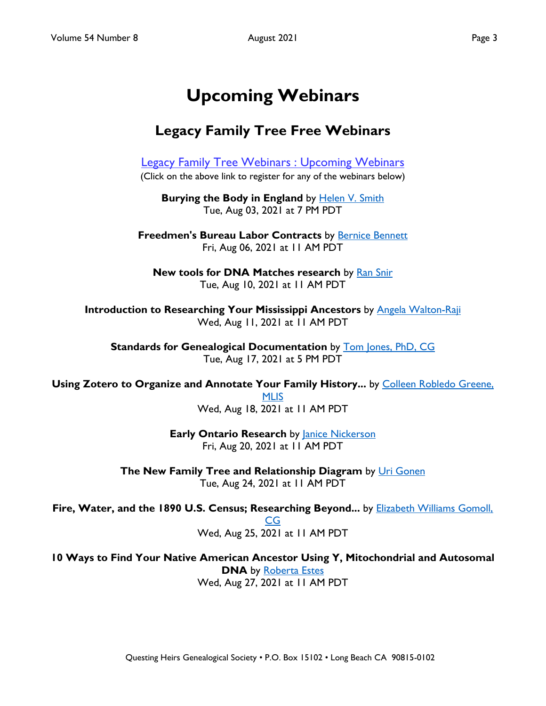# **Upcoming Webinars**

# <span id="page-2-0"></span>**Legacy Family Tree Free Webinars**

[Legacy Family Tree Webinars : Upcoming Webinars](https://familytreewebinars.com/upcoming-webinars.php) (Click on the above link to register for any of the webinars below)

**Burying the Body in England** by **[Helen V. Smith](https://familytreewebinars.com/helensmith)** Tue, Aug 03, 2021 at 7 PM PDT

**Freedmen's Bureau Labor Contracts** by [Bernice Bennett](https://familytreewebinars.com/bernicebennett) Fri, Aug 06, 2021 at 11 AM PDT

**New tools for DNA Matches research by [Ran Snir](https://familytreewebinars.com/ransnir)** Tue, Aug 10, 2021 at 11 AM PDT

**Introduction to Researching Your Mississippi Ancestors** by [Angela Walton-Raji](https://familytreewebinars.com/angelawaltonraji) Wed, Aug 11, 2021 at 11 AM PDT

**Standards for Genealogical Documentation** by [Tom Jones, PhD, CG](https://familytreewebinars.com/tomjones) Tue, Aug 17, 2021 at 5 PM PDT

Using Zotero to Organize and Annotate Your Family History... by Colleen Robledo Greene,

[MLIS](https://familytreewebinars.com/colleengreene) Wed, Aug 18, 2021 at 11 AM PDT

**Early Ontario Research** by **[Janice Nickerson](https://familytreewebinars.com/janicenickerson)** Fri, Aug 20, 2021 at 11 AM PDT

**The New Family Tree and Relationship Diagram** by [Uri Gonen](https://familytreewebinars.com/urigonen) Tue, Aug 24, 2021 at 11 AM PDT

Fire, Water, and the 1890 U.S. Census; Researching Beyond... by **Elizabeth Williams Gomoll**,

[CG](https://familytreewebinars.com/elizabethgomoll) Wed, Aug 25, 2021 at 11 AM PDT

**10 Ways to Find Your Native American Ancestor Using Y, Mitochondrial and Autosomal DNA** by [Roberta Estes](https://familytreewebinars.com/robertaestes) Wed, Aug 27, 2021 at 11 AM PDT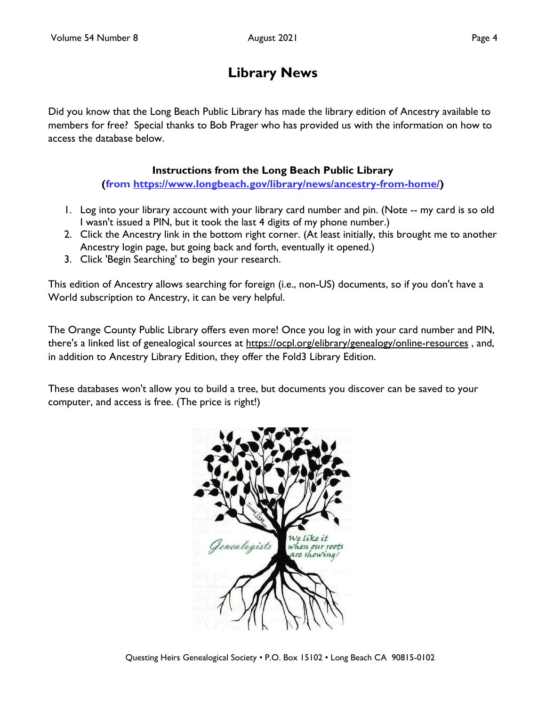# **Library News**

<span id="page-3-0"></span>Did you know that the Long Beach Public Library has made the library edition of Ancestry available to members for free? Special thanks to Bob Prager who has provided us with the information on how to access the database below.

### **Instructions from the Long Beach Public Library**

**(from [https://www.longbeach.gov/library/news/ancestry-from-home/\)](https://www.longbeach.gov/library/news/ancestry-from-home/)**

- 1. Log into your library account with your library card number and pin. (Note -- my card is so old I wasn't issued a PIN, but it took the last 4 digits of my phone number.)
- 2. Click the Ancestry link in the bottom right corner. (At least initially, this brought me to another Ancestry login page, but going back and forth, eventually it opened.)
- 3. Click 'Begin Searching' to begin your research.

This edition of Ancestry allows searching for foreign (i.e., non-US) documents, so if you don't have a World subscription to Ancestry, it can be very helpful.

The Orange County Public Library offers even more! Once you log in with your card number and PIN, there's a linked list of genealogical sources at <https://ocpl.org/elibrary/genealogy/online-resources> , and, in addition to Ancestry Library Edition, they offer the Fold3 Library Edition.

These databases won't allow you to build a tree, but documents you discover can be saved to your computer, and access is free. (The price is right!)